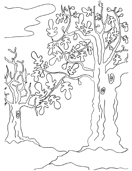